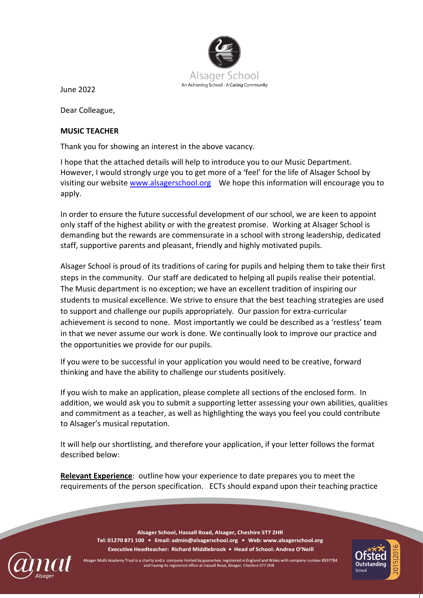

June 2022

Dear Colleague,

## **MUSIC TEACHER**

Thank you for showing an interest in the above vacancy.

I hope that the attached details will help to introduce you to our Music Department. However, I would strongly urge you to get more of a 'feel' for the life of Alsager School by visiting our websit[e www.alsagerschool.org](http://www.alsagerschool.org/) We hope this information will encourage you to apply.

In order to ensure the future successful development of our school, we are keen to appoint only staff of the highest ability or with the greatest promise. Working at Alsager School is demanding but the rewards are commensurate in a school with strong leadership, dedicated staff, supportive parents and pleasant, friendly and highly motivated pupils.

Alsager School is proud of its traditions of caring for pupils and helping them to take their first steps in the community. Our staff are dedicated to helping all pupils realise their potential. The Music department is no exception; we have an excellent tradition of inspiring our students to musical excellence. We strive to ensure that the best teaching strategies are used to support and challenge our pupils appropriately. Our passion for extra-curricular achievement is second to none. Most importantly we could be described as a 'restless' team in that we never assume our work is done. We continually look to improve our practice and the opportunities we provide for our pupils.

If you were to be successful in your application you would need to be creative, forward thinking and have the ability to challenge our students positively.

If you wish to make an application, please complete all sections of the enclosed form. In addition, we would ask you to submit a supporting letter assessing your own abilities, qualities and commitment as a teacher, as well as highlighting the ways you feel you could contribute to Alsager's musical reputation.

It will help our shortlisting, and therefore your application, if your letter follows the format described below:

**Relevant Experience**: outline how your experience to date prepares you to meet the requirements of the person specification. ECTs should expand upon their teaching practice



Alsager School, Hassall Road, Alsager, Cheshire ST7 2HR Tel: 01270 871 100 · Email: admin@alsagerschool.org · Web: www.alsagerschool.org Executive Headteacher: Richard Middlebrook . Head of School: Andrea O'Neill

er Multi Academy Trust is a charity and a company limited by guarantee, registered in England and Wales with company number 8597784 and having its registered office at Hassall Road, Alsager, Cheshire ST7 2HR